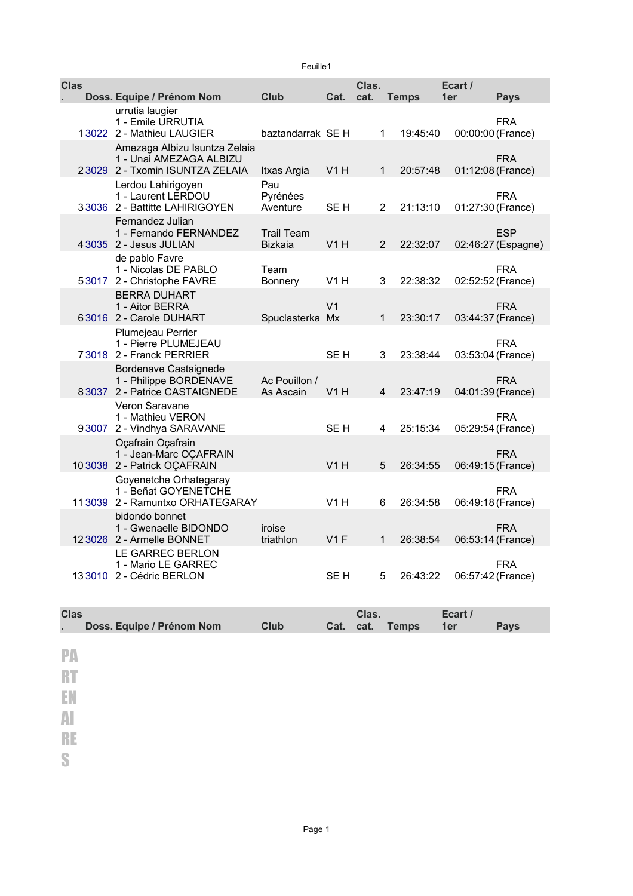|  | Feuille1    |                                                                                             |                                     |                 |                |              |                |                                  |
|--|-------------|---------------------------------------------------------------------------------------------|-------------------------------------|-----------------|----------------|--------------|----------------|----------------------------------|
|  | <b>Clas</b> | Doss. Equipe / Prénom Nom                                                                   | <b>Club</b>                         | Cat.            | Clas.<br>cat.  | <b>Temps</b> | Ecart /<br>1er | <b>Pays</b>                      |
|  |             | urrutia laugier<br>1 - Emile URRUTIA<br>13022 2 - Mathieu LAUGIER                           | baztandarrak SE H                   |                 | 1              | 19:45:40     |                | <b>FRA</b><br>00:00:00 (France)  |
|  |             | Amezaga Albizu Isuntza Zelaia<br>1 - Unai AMEZAGA ALBIZU<br>23029 2 - Txomin ISUNTZA ZELAIA | Itxas Argia                         | V1H             | 1              | 20:57:48     |                | <b>FRA</b><br>01:12:08 (France)  |
|  |             | Lerdou Lahirigoyen<br>1 - Laurent LERDOU<br>33036 2 - Battitte LAHIRIGOYEN                  | Pau<br>Pyrénées<br>Aventure         | SE <sub>H</sub> | $\overline{2}$ | 21:13:10     |                | <b>FRA</b><br>01:27:30 (France)  |
|  |             | Fernandez Julian<br>1 - Fernando FERNANDEZ<br>4 3035 2 - Jesus JULIAN                       | <b>Trail Team</b><br><b>Bizkaia</b> | V1H             | $\overline{2}$ | 22:32:07     |                | <b>ESP</b><br>02:46:27 (Espagne) |
|  |             | de pablo Favre<br>1 - Nicolas DE PABLO<br>53017 2 - Christophe FAVRE                        | Team<br>Bonnery                     | V1H             | 3              | 22:38:32     |                | <b>FRA</b><br>02:52:52 (France)  |
|  |             | <b>BERRA DUHART</b><br>1 - Aitor BERRA<br>63016 2 - Carole DUHART                           | Spuclasterka Mx                     | V <sub>1</sub>  | $\mathbf{1}$   | 23:30:17     |                | <b>FRA</b><br>03:44:37 (France)  |
|  |             | Plumejeau Perrier<br>1 - Pierre PLUMEJEAU<br>73018 2 - Franck PERRIER                       |                                     | SE H            | 3              | 23:38:44     |                | <b>FRA</b><br>03:53:04 (France)  |
|  |             | Bordenave Castaignede<br>1 - Philippe BORDENAVE<br>8 3037 2 - Patrice CASTAIGNEDE           | Ac Pouillon /<br>As Ascain          | V1H             | 4              | 23:47:19     |                | <b>FRA</b><br>04:01:39 (France)  |
|  |             | Veron Saravane<br>1 - Mathieu VERON<br>93007 2 - Vindhya SARAVANE                           |                                     | SF H            | 4              | 25:15:34     |                | <b>FRA</b><br>05:29:54 (France)  |
|  |             | Ocafrain Ocafrain<br>1 - Jean-Marc OCAFRAIN<br>10 3038 2 - Patrick OCAFRAIN                 |                                     | V1H             | 5              | 26:34:55     |                | <b>FRA</b><br>06:49:15 (France)  |
|  |             | Goyenetche Orhategaray<br>1 - Beñat GOYENETCHE<br>11 3039 2 - Ramuntxo ORHATEGARAY          |                                     | V1H             | 6              | 26:34:58     |                | <b>FRA</b><br>06:49:18 (France)  |
|  |             | bidondo bonnet<br>1 - Gwenaelle BIDONDO<br>12 3026 2 - Armelle BONNET                       | iroise<br>triathlon                 | $V1$ F          | $\mathbf{1}$   | 26:38:54     |                | <b>FRA</b><br>06:53:14 (France)  |
|  |             | LE GARREC BERLON<br>1 - Mario LE GARREC<br>13 3010 2 - Cédric BERLON                        |                                     | SE <sub>H</sub> | 5              | 26:43:22     |                | <b>FRA</b><br>06:57:42 (France)  |

| <b>Clas</b><br>×. | Doss. Equipe / Prénom Nom | Club | Cat. | Clas.<br>cat. | <b>Temps</b> | Ecart /<br>1er | <b>Pays</b> |
|-------------------|---------------------------|------|------|---------------|--------------|----------------|-------------|
|                   |                           |      |      |               |              |                |             |
| PA <sub>1</sub>   |                           |      |      |               |              |                |             |
| RT                |                           |      |      |               |              |                |             |
| EN                |                           |      |      |               |              |                |             |
| A                 |                           |      |      |               |              |                |             |
| <b>RE</b>         |                           |      |      |               |              |                |             |
| S                 |                           |      |      |               |              |                |             |